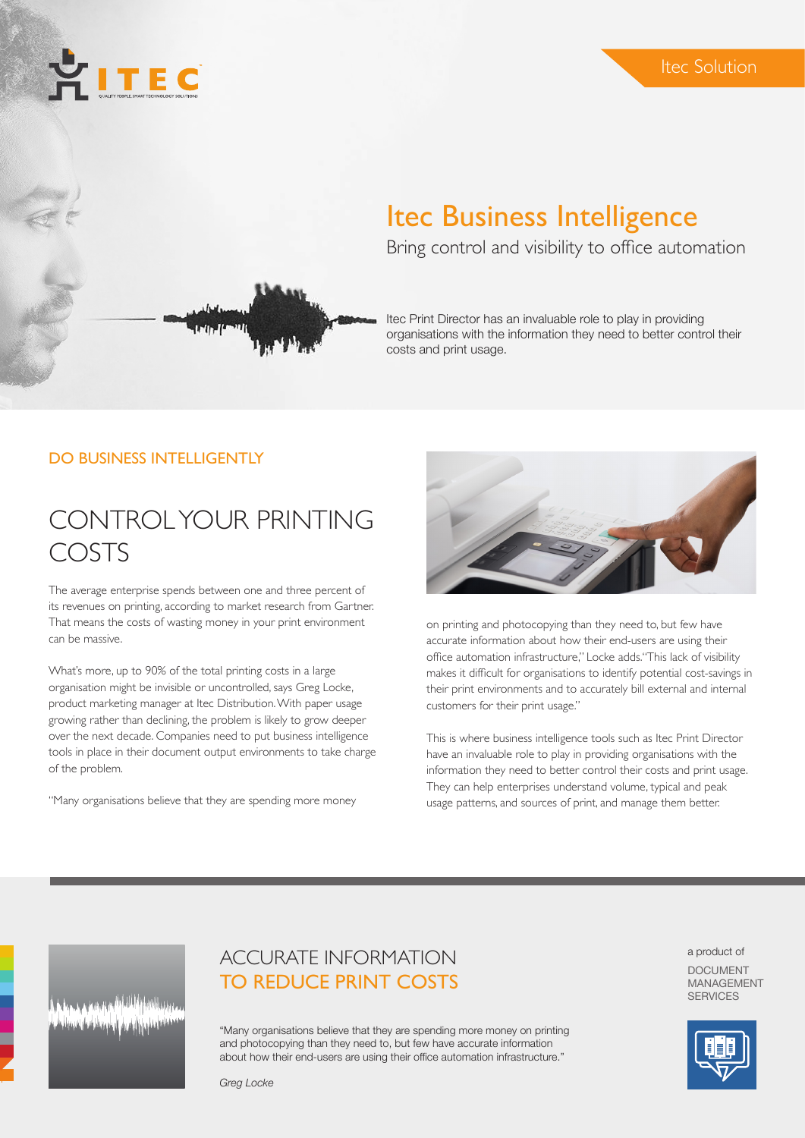# Itec Business Intelligence

Bring control and visibility to office automation

Itec Print Director has an invaluable role to play in providing organisations with the information they need to better control their costs and print usage.

#### DO BUSINESS INTELLIGENTLY

**PITEC** 

### CONTROL YOUR PRINTING COSTS

The average enterprise spends between one and three percent of its revenues on printing, according to market research from Gartner. That means the costs of wasting money in your print environment can be massive.

What's more, up to 90% of the total printing costs in a large organisation might be invisible or uncontrolled, says Greg Locke, product marketing manager at Itec Distribution. With paper usage growing rather than declining, the problem is likely to grow deeper over the next decade. Companies need to put business intelligence tools in place in their document output environments to take charge of the problem.

"Many organisations believe that they are spending more money



on printing and photocopying than they need to, but few have accurate information about how their end-users are using their office automation infrastructure," Locke adds."This lack of visibility makes it difficult for organisations to identify potential cost-savings in their print environments and to accurately bill external and internal customers for their print usage."

This is where business intelligence tools such as Itec Print Director have an invaluable role to play in providing organisations with the information they need to better control their costs and print usage. They can help enterprises understand volume, typical and peak usage patterns, and sources of print, and manage them better.

### ACCURATE INFORMATION TO REDUCE PRINT COSTS

"Many organisations believe that they are spending more money on printing and photocopying than they need to, but few have accurate information about how their end-users are using their office automation infrastructure."

a product of

DOCUMENT MANAGEMENT **SERVICES** 



*Greg Locke*